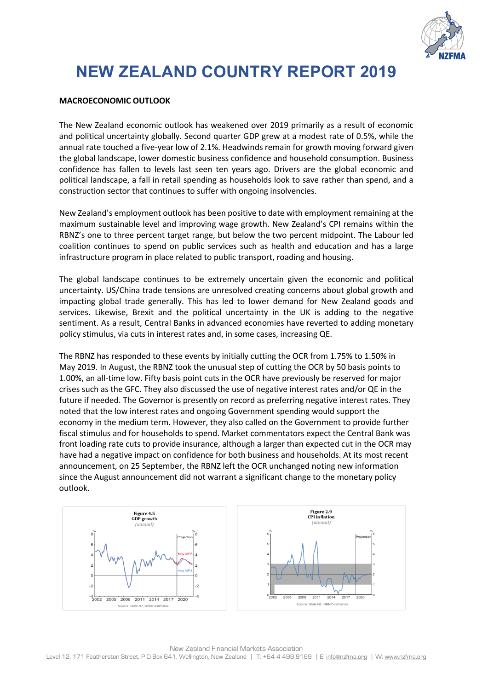

# **NEW ZEALAND COUNTRY REPORT 2019**

#### **MACROECONOMIC OUTLOOK**

The New Zealand economic outlook has weakened over 2019 primarily as a result of economic and political uncertainty globally. Second quarter GDP grew at a modest rate of 0.5%, while the annual rate touched a five-year low of 2.1%. Headwinds remain for growth moving forward given the global landscape, lower domestic business confidence and household consumption. Business confidence has fallen to levels last seen ten years ago. Drivers are the global economic and political landscape, a fall in retail spending as households look to save rather than spend, and a construction sector that continues to suffer with ongoing insolvencies.

New Zealand's employment outlook has been positive to date with employment remaining at the maximum sustainable level and improving wage growth. New Zealand's CPI remains within the RBNZ's one to three percent target range, but below the two percent midpoint. The Labour led coalition continues to spend on public services such as health and education and has a large infrastructure program in place related to public transport, roading and housing.

The global landscape continues to be extremely uncertain given the economic and political uncertainty. US/China trade tensions are unresolved creating concerns about global growth and impacting global trade generally. This has led to lower demand for New Zealand goods and services. Likewise, Brexit and the political uncertainty in the UK is adding to the negative sentiment. As a result, Central Banks in advanced economies have reverted to adding monetary policy stimulus, via cuts in interest rates and, in some cases, increasing QE.

The RBNZ has responded to these events by initially cutting the OCR from 1.75% to 1.50% in May 2019. In August, the RBNZ took the unusual step of cutting the OCR by 50 basis points to 1.00%, an all-time low. Fifty basis point cuts in the OCR have previously be reserved for major crises such as the GFC. They also discussed the use of negative interest rates and/or QE in the future if needed. The Governor is presently on record as preferring negative interest rates. They noted that the low interest rates and ongoing Government spending would support the economy in the medium term. However, they also called on the Government to provide further fiscal stimulus and for households to spend. Market commentators expect the Central Bank was front loading rate cuts to provide insurance, although a larger than expected cut in the OCR may have had a negative impact on confidence for both business and households. At its most recent announcement, on 25 September, the RBNZ left the OCR unchanged noting new information since the August announcement did not warrant a significant change to the monetary policy outlook.

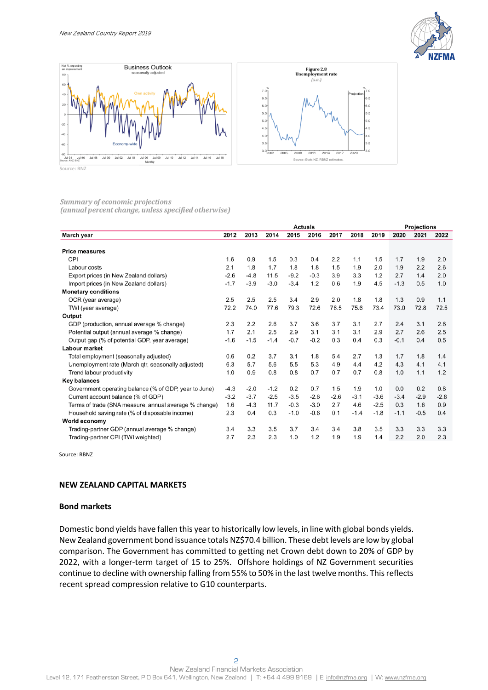



#### Summary of economic projections (annual percent change, unless specified otherwise)

|                                                       | <b>Actuals</b> |        |        |        |        |        |        |        | <b>Projections</b> |        |        |  |
|-------------------------------------------------------|----------------|--------|--------|--------|--------|--------|--------|--------|--------------------|--------|--------|--|
| March year                                            | 2012           | 2013   | 2014   | 2015   | 2016   | 2017   | 2018   | 2019   | 2020               | 2021   | 2022   |  |
|                                                       |                |        |        |        |        |        |        |        |                    |        |        |  |
| <b>Price measures</b>                                 |                |        |        |        |        |        |        |        |                    |        |        |  |
| CPI                                                   | 1.6            | 0.9    | 1.5    | 0.3    | 0.4    | 2.2    | 1.1    | 1.5    | 1.7                | 1.9    | 2.0    |  |
| Labour costs                                          | 2.1            | 1.8    | 1.7    | 1.8    | 1.8    | 1.5    | 1.9    | 2.0    | 1.9                | 2.2    | 2.6    |  |
| Export prices (in New Zealand dollars)                | $-2.6$         | $-4.8$ | 11.5   | $-9.2$ | $-0.3$ | 3.9    | 3.3    | 1.2    | 2.7                | 1.4    | 2.0    |  |
| Import prices (in New Zealand dollars)                | $-1.7$         | $-3.9$ | $-3.0$ | $-3.4$ | 1.2    | 0.6    | 1.9    | 4.5    | $-1.3$             | 0.5    | 1.0    |  |
| <b>Monetary conditions</b>                            |                |        |        |        |        |        |        |        |                    |        |        |  |
| OCR (year average)                                    | 2.5            | 2.5    | 2.5    | 3.4    | 2.9    | 2.0    | 1.8    | 1.8    | 1.3                | 0.9    | 1.1    |  |
| TWI (year average)                                    | 72.2           | 74.0   | 77.6   | 79.3   | 72.6   | 76.5   | 75.6   | 73.4   | 73.0               | 72.8   | 72.5   |  |
| Output                                                |                |        |        |        |        |        |        |        |                    |        |        |  |
| GDP (production, annual average % change)             | 2.3            | 2.2    | 2.6    | 3.7    | 3.6    | 3.7    | 3.1    | 2.7    | 2.4                | 3.1    | 2.6    |  |
| Potential output (annual average % change)            | 1.7            | 2.1    | 2.5    | 2.9    | 3.1    | 3.1    | 3.1    | 2.9    | 2.7                | 2.6    | 2.5    |  |
| Output gap (% of potential GDP, year average)         | $-1.6$         | $-1.5$ | $-1.4$ | $-0.7$ | $-0.2$ | 0.3    | 0.4    | 0.3    | $-0.1$             | 0.4    | 0.5    |  |
| <b>Labour market</b>                                  |                |        |        |        |        |        |        |        |                    |        |        |  |
| Total employment (seasonally adjusted)                | 0.6            | 0.2    | 3.7    | 3.1    | 1.8    | 5.4    | 2.7    | 1.3    | 1.7                | 1.8    | 1.4    |  |
| Unemployment rate (March gtr, seasonally adjusted)    | 6.3            | 5.7    | 5.6    | 5.5    | 5.3    | 4.9    | 4.4    | 4.2    | 4.3                | 4.1    | 4.1    |  |
| Trend labour productivity                             | 1.0            | 0.9    | 0.8    | 0.8    | 0.7    | 0.7    | 0.7    | 0.8    | 1.0                | 1.1    | 1.2    |  |
| <b>Key balances</b>                                   |                |        |        |        |        |        |        |        |                    |        |        |  |
| Government operating balance (% of GDP, year to June) | $-4.3$         | $-2.0$ | $-1.2$ | 0.2    | 0.7    | 1.5    | 1.9    | 1.0    | 0.0                | 0.2    | 0.8    |  |
| Current account balance (% of GDP)                    | $-3.2$         | $-3.7$ | $-2.5$ | $-3.5$ | $-2.6$ | $-2.6$ | $-3.1$ | $-3.6$ | $-3.4$             | $-2.9$ | $-2.8$ |  |
| Terms of trade (SNA measure, annual average % change) | 1.6            | $-4.3$ | 11.7   | $-0.3$ | $-3.0$ | 2.7    | 4.6    | $-2.5$ | 0.3                | 1.6    | 0.9    |  |
| Household saving rate (% of disposable income)        | 2.3            | 0.4    | 0.3    | $-1.0$ | $-0.6$ | 0.1    | $-1.4$ | $-1.8$ | $-1.1$             | $-0.5$ | 0.4    |  |
| World economy                                         |                |        |        |        |        |        |        |        |                    |        |        |  |
| Trading-partner GDP (annual average % change)         | 3.4            | 3.3    | 3.5    | 3.7    | 3.4    | 3.4    | 3.8    | 3.5    | 3.3                | 3.3    | 3.3    |  |
| Trading-partner CPI (TWI weighted)                    | 2.7            | 2.3    | 2.3    | 1.0    | 1.2    | 1.9    | 1.9    | 1.4    | 2.2                | 2.0    | 2.3    |  |

Source: RBNZ

#### **NEW ZEALAND CAPITAL MARKETS**

#### **Bond markets**

Domestic bond yields have fallen this year to historically low levels, in line with global bonds yields. New Zealand government bond issuance totals NZ\$70.4 billion. These debt levels are low by global comparison. The Government has committed to getting net Crown debt down to 20% of GDP by 2022, with a longer-term target of 15 to 25%. Offshore holdings of NZ Government securities continue to decline with ownership falling from 55% to 50% in the last twelve months. This reflects recent spread compression relative to G10 counterparts.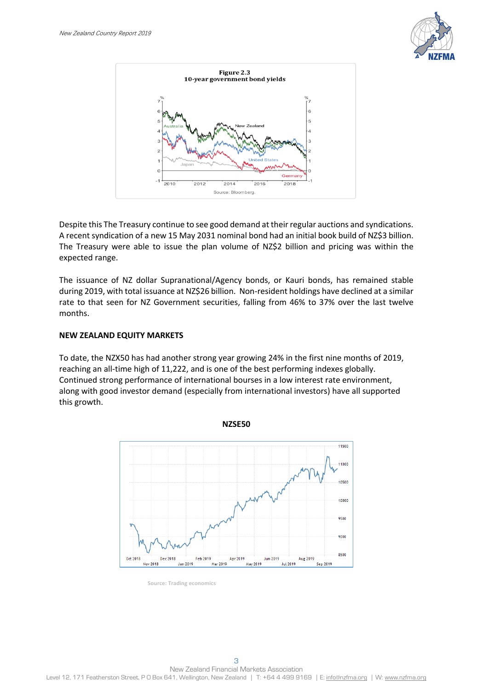



Despite this The Treasury continue to see good demand at their regular auctions and syndications. A recent syndication of a new 15 May 2031 nominal bond had an initial book build of NZ\$3 billion. The Treasury were able to issue the plan volume of NZ\$2 billion and pricing was within the expected range.

The issuance of NZ dollar Supranational/Agency bonds, or Kauri bonds, has remained stable during 2019, with total issuance at NZ\$26 billion. Non-resident holdings have declined at a similar rate to that seen for NZ Government securities, falling from 46% to 37% over the last twelve months.

### **NEW ZEALAND EQUITY MARKETS**

To date, the NZX50 has had another strong year growing 24% in the first nine months of 2019, reaching an all-time high of 11,222, and is one of the best performing indexes globally. Continued strong performance of international bourses in a low interest rate environment, along with good investor demand (especially from international investors) have all supported this growth.



**Source: Trading economics**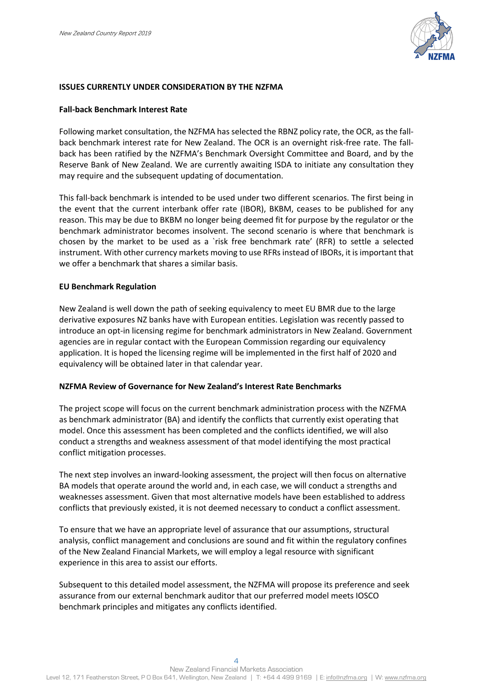

#### **ISSUES CURRENTLY UNDER CONSIDERATION BY THE NZFMA**

#### **Fall-back Benchmark Interest Rate**

Following market consultation, the NZFMA has selected the RBNZ policy rate, the OCR, as the fallback benchmark interest rate for New Zealand. The OCR is an overnight risk-free rate. The fallback has been ratified by the NZFMA's Benchmark Oversight Committee and Board, and by the Reserve Bank of New Zealand. We are currently awaiting ISDA to initiate any consultation they may require and the subsequent updating of documentation.

This fall-back benchmark is intended to be used under two different scenarios. The first being in the event that the current interbank offer rate (IBOR), BKBM, ceases to be published for any reason. This may be due to BKBM no longer being deemed fit for purpose by the regulator or the benchmark administrator becomes insolvent. The second scenario is where that benchmark is chosen by the market to be used as a `risk free benchmark rate' (RFR) to settle a selected instrument. With other currency markets moving to use RFRs instead of IBORs, it is important that we offer a benchmark that shares a similar basis.

#### **EU Benchmark Regulation**

New Zealand is well down the path of seeking equivalency to meet EU BMR due to the large derivative exposures NZ banks have with European entities. Legislation was recently passed to introduce an opt-in licensing regime for benchmark administrators in New Zealand. Government agencies are in regular contact with the European Commission regarding our equivalency application. It is hoped the licensing regime will be implemented in the first half of 2020 and equivalency will be obtained later in that calendar year.

#### **NZFMA Review of Governance for New Zealand's Interest Rate Benchmarks**

The project scope will focus on the current benchmark administration process with the NZFMA as benchmark administrator (BA) and identify the conflicts that currently exist operating that model. Once this assessment has been completed and the conflicts identified, we will also conduct a strengths and weakness assessment of that model identifying the most practical conflict mitigation processes.

The next step involves an inward-looking assessment, the project will then focus on alternative BA models that operate around the world and, in each case, we will conduct a strengths and weaknesses assessment. Given that most alternative models have been established to address conflicts that previously existed, it is not deemed necessary to conduct a conflict assessment.

To ensure that we have an appropriate level of assurance that our assumptions, structural analysis, conflict management and conclusions are sound and fit within the regulatory confines of the New Zealand Financial Markets, we will employ a legal resource with significant experience in this area to assist our efforts.

Subsequent to this detailed model assessment, the NZFMA will propose its preference and seek assurance from our external benchmark auditor that our preferred model meets IOSCO benchmark principles and mitigates any conflicts identified.